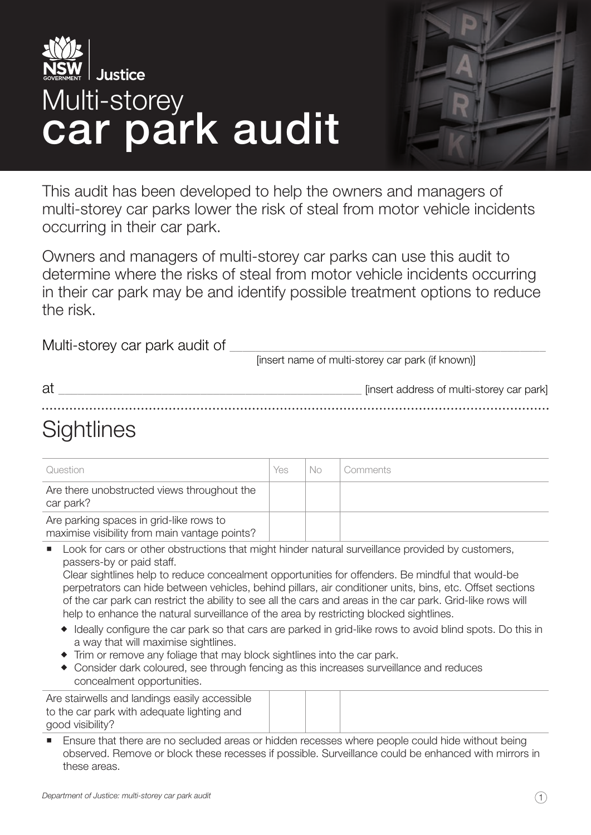



This audit has been developed to help the owners and managers of multi-storey car parks lower the risk of steal from motor vehicle incidents occurring in their car park.

Owners and managers of multi-storey car parks can use this audit to determine where the risks of steal from motor vehicle incidents occurring in their car park may be and identify possible treatment options to reduce the risk.

Multi-storey car park audit of \_\_\_\_\_\_\_\_\_\_\_\_\_\_\_\_\_\_\_\_\_\_\_\_\_\_\_\_\_\_\_\_\_\_\_\_\_\_\_\_\_\_\_\_\_\_\_\_\_ [insert name of multi-storey car park (if known)]

| at     | [insert address of multi-storey car park] |
|--------|-------------------------------------------|
| $\sim$ |                                           |

# **Sightlines**

| Question                                                                                 | Yes | No | Comments |
|------------------------------------------------------------------------------------------|-----|----|----------|
| Are there unobstructed views throughout the<br>car park?                                 |     |    |          |
| Are parking spaces in grid-like rows to<br>maximise visibility from main vantage points? |     |    |          |

 Look for cars or other obstructions that might hinder natural surveillance provided by customers, passers-by or paid staff.

Clear sightlines help to reduce concealment opportunities for offenders. Be mindful that would-be perpetrators can hide between vehicles, behind pillars, air conditioner units, bins, etc. Offset sections of the car park can restrict the ability to see all the cars and areas in the car park. Grid-like rows will help to enhance the natural surveillance of the area by restricting blocked sightlines.

- Ideally configure the car park so that cars are parked in grid-like rows to avoid blind spots. Do this in a way that will maximise sightlines.
- Trim or remove any foliage that may block sightlines into the car park.
- Consider dark coloured, see through fencing as this increases surveillance and reduces concealment opportunities.

Are stairwells and landings easily accessible to the car park with adequate lighting and good visibility?

 Ensure that there are no secluded areas or hidden recesses where people could hide without being observed. Remove or block these recesses if possible. Surveillance could be enhanced with mirrors in these areas.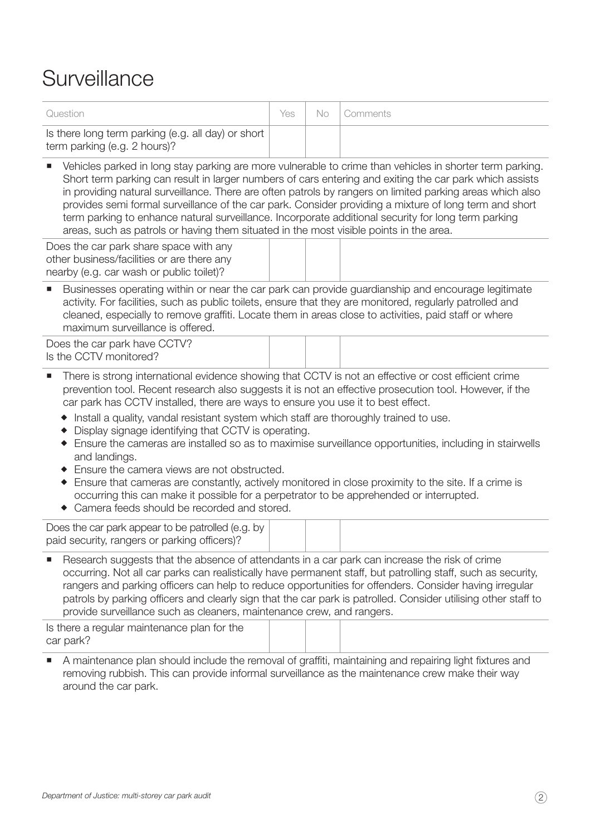## Surveillance

| Question                                                                                                 | Yes. |  | No   Comments |
|----------------------------------------------------------------------------------------------------------|------|--|---------------|
| Is there long term parking (e.g. all day) or short<br>term parking (e.g. 2 hours)?                       |      |  |               |
| Vehicles parked in long stay parking are more vulnerable to crime than vehicles in shorter term parking. |      |  |               |

Short term parking can result in larger numbers of cars entering and exiting the car park which assists in providing natural surveillance. There are often patrols by rangers on limited parking areas which also provides semi formal surveillance of the car park. Consider providing a mixture of long term and short term parking to enhance natural surveillance. Incorporate additional security for long term parking areas, such as patrols or having them situated in the most visible points in the area.

Does the car park share space with any other business/facilities or are there any nearby (e.g. car wash or public toilet)?

 Businesses operating within or near the car park can provide guardianship and encourage legitimate activity. For facilities, such as public toilets, ensure that they are monitored, regularly patrolled and cleaned, especially to remove graffiti. Locate them in areas close to activities, paid staff or where maximum surveillance is offered.

Does the car park have CCTV? Is the CCTV monitored?

- There is strong international evidence showing that CCTV is not an effective or cost efficient crime prevention tool. Recent research also suggests it is not an effective prosecution tool. However, if the car park has CCTV installed, there are ways to ensure you use it to best effect.
	- Install a quality, vandal resistant system which staff are thoroughly trained to use.
	- Display signage identifying that CCTV is operating.
	- Ensure the cameras are installed so as to maximise surveillance opportunities, including in stairwells and landings.
	- ◆ Ensure the camera views are not obstructed.
	- Ensure that cameras are constantly, actively monitored in close proximity to the site. If a crime is occurring this can make it possible for a perpetrator to be apprehended or interrupted.
	- Camera feeds should be recorded and stored.

| Does the car park appear to be patrolled (e.g. by |  |  |
|---------------------------------------------------|--|--|
|                                                   |  |  |
|                                                   |  |  |
| paid security, rangers or parking officers)?      |  |  |
|                                                   |  |  |

 Research suggests that the absence of attendants in a car park can increase the risk of crime occurring. Not all car parks can realistically have permanent staff, but patrolling staff, such as security, rangers and parking officers can help to reduce opportunities for offenders. Consider having irregular patrols by parking officers and clearly sign that the car park is patrolled. Consider utilising other staff to provide surveillance such as cleaners, maintenance crew, and rangers.

| Is there a regular maintenance plan for the |  |  |  |
|---------------------------------------------|--|--|--|
| car park?                                   |  |  |  |
|                                             |  |  |  |

 A maintenance plan should include the removal of graffiti, maintaining and repairing light fixtures and removing rubbish. This can provide informal surveillance as the maintenance crew make their way around the car park.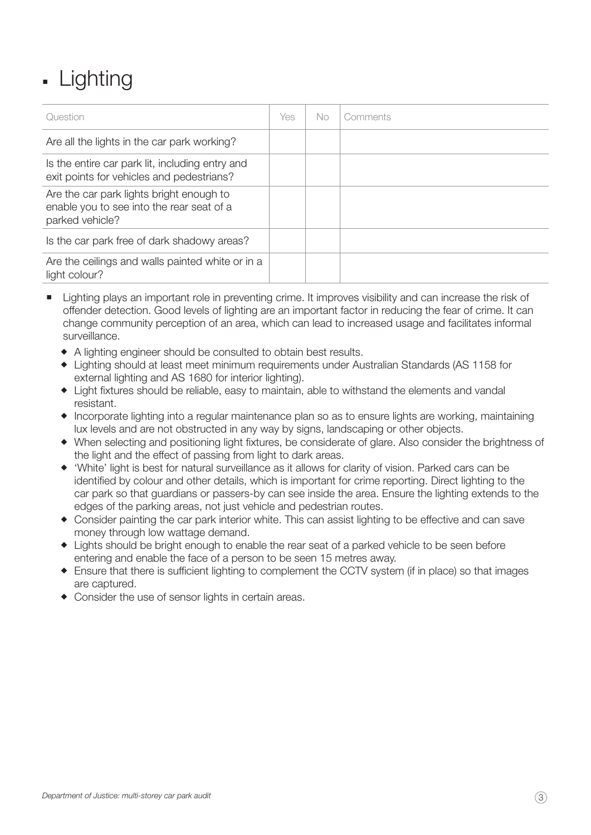# - Lighting

| Question                                                                                                 | Yes | No. | Comments |
|----------------------------------------------------------------------------------------------------------|-----|-----|----------|
| Are all the lights in the car park working?                                                              |     |     |          |
| Is the entire car park lit, including entry and<br>exit points for vehicles and pedestrians?             |     |     |          |
| Are the car park lights bright enough to<br>enable you to see into the rear seat of a<br>parked vehicle? |     |     |          |
| Is the car park free of dark shadowy areas?                                                              |     |     |          |
| Are the ceilings and walls painted white or in a<br>light colour?                                        |     |     |          |

- **E** Lighting plays an important role in preventing crime. It improves visibility and can increase the risk of offender detection. Good levels of lighting are an important factor in reducing the fear of crime. It can change community perception of an area, which can lead to increased usage and facilitates informal surveillance.
	- A lighting engineer should be consulted to obtain best results.
	- Lighting should at least meet minimum requirements under Australian Standards (AS 1158 for external lighting and AS 1680 for interior lighting).
	- Light fixtures should be reliable, easy to maintain, able to withstand the elements and vandal resistant.
	- Incorporate lighting into a regular maintenance plan so as to ensure lights are working, maintaining lux levels and are not obstructed in any way by signs, landscaping or other objects.
	- When selecting and positioning light fixtures, be considerate of glare. Also consider the brightness of the light and the effect of passing from light to dark areas.
	- 'White' light is best for natural surveillance as it allows for clarity of vision. Parked cars can be identified by colour and other details, which is important for crime reporting. Direct lighting to the car park so that guardians or passers-by can see inside the area. Ensure the lighting extends to the edges of the parking areas, not just vehicle and pedestrian routes.
	- Consider painting the car park interior white. This can assist lighting to be effective and can save money through low wattage demand.
	- Lights should be bright enough to enable the rear seat of a parked vehicle to be seen before entering and enable the face of a person to be seen 15 metres away.
	- Ensure that there is sufficient lighting to complement the CCTV system (if in place) so that images are captured.
	- Consider the use of sensor lights in certain areas.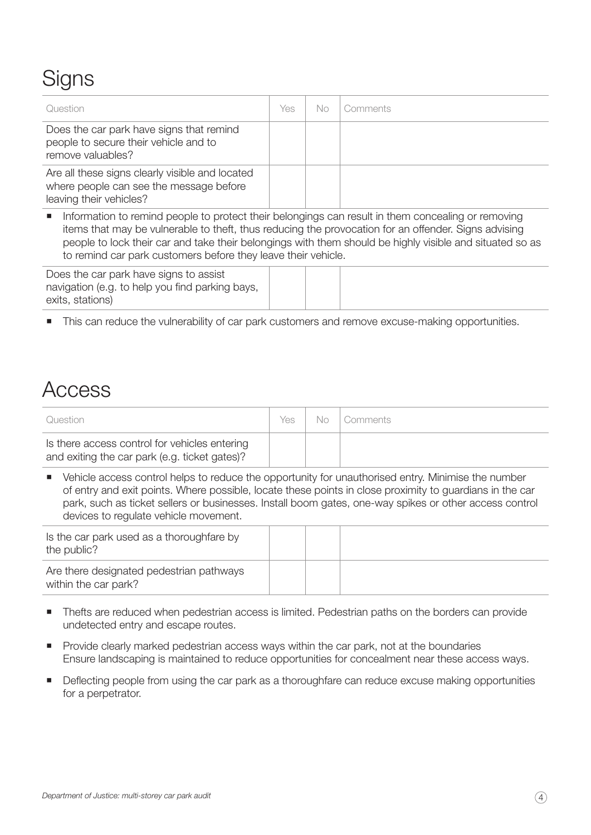# **Signs**

| Question                                                                                                                                                                                                                                                                                                                                                                                                               | Yes | No. | Comments |  |  |
|------------------------------------------------------------------------------------------------------------------------------------------------------------------------------------------------------------------------------------------------------------------------------------------------------------------------------------------------------------------------------------------------------------------------|-----|-----|----------|--|--|
| Does the car park have signs that remind<br>people to secure their vehicle and to<br>remove valuables?                                                                                                                                                                                                                                                                                                                 |     |     |          |  |  |
| Are all these signs clearly visible and located<br>where people can see the message before<br>leaving their vehicles?                                                                                                                                                                                                                                                                                                  |     |     |          |  |  |
| Information to remind people to protect their belongings can result in them concealing or removing<br>$\mathcal{L}_{\mathcal{A}}$<br>items that may be vulnerable to theft, thus reducing the provocation for an offender. Signs advising<br>people to lock their car and take their belongings with them should be highly visible and situated so as<br>to remind car park customers before they leave their vehicle. |     |     |          |  |  |
| Does the car park have signs to assist<br>navigation (e.g. to help you find parking bays,<br>exits, stations)                                                                                                                                                                                                                                                                                                          |     |     |          |  |  |

This can reduce the vulnerability of car park customers and remove excuse-making opportunities.

### Access

| Question                                                                                       | Yes. | No Comments |
|------------------------------------------------------------------------------------------------|------|-------------|
| Is there access control for vehicles entering<br>and exiting the car park (e.g. ticket gates)? |      |             |

• Vehicle access control helps to reduce the opportunity for unauthorised entry. Minimise the number of entry and exit points. Where possible, locate these points in close proximity to guardians in the car park, such as ticket sellers or businesses. Install boom gates, one-way spikes or other access control devices to regulate vehicle movement.

| Is the car park used as a thoroughfare by<br>the public?         |  |  |
|------------------------------------------------------------------|--|--|
| Are there designated pedestrian pathways<br>within the car park? |  |  |

- Thefts are reduced when pedestrian access is limited. Pedestrian paths on the borders can provide undetected entry and escape routes.
- **Provide clearly marked pedestrian access ways within the car park, not at the boundaries** Ensure landscaping is maintained to reduce opportunities for concealment near these access ways.
- Deflecting people from using the car park as a thoroughfare can reduce excuse making opportunities for a perpetrator.